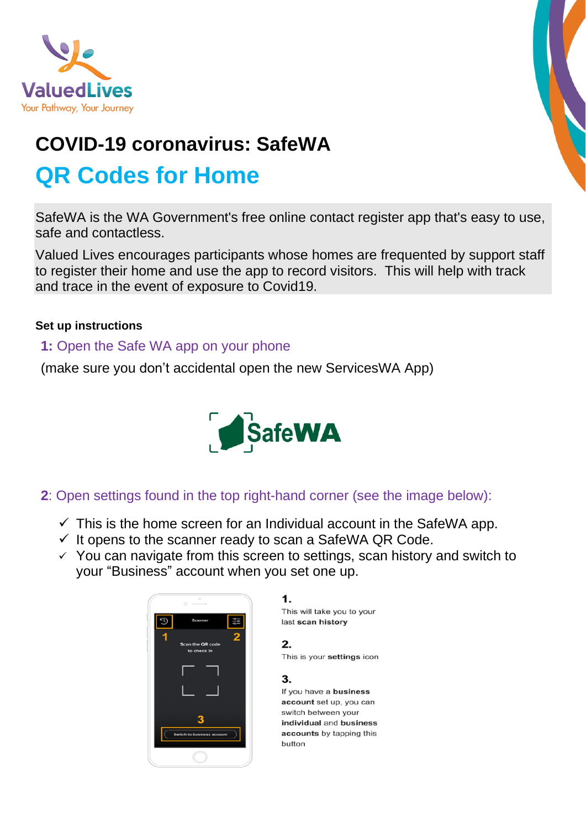

# **COVID-19 coronavirus: SafeWA QR Codes for Home**

SafeWA is the WA Government's free online contact register app that's easy to use, safe and contactless.

Valued Lives encourages participants whose homes are frequented by support staff to register their home and use the app to record visitors. This will help with track and trace in the event of exposure to Covid19.

#### **Set up instructions**

### **1:** Open the Safe WA app on your phone

(make sure you don't accidental open the new ServicesWA App)



## **2**: Open settings found in the top right-hand corner (see the image below):

- $\checkmark$  This is the home screen for an Individual account in the SafeWA app.
- $\checkmark$  It opens to the scanner ready to scan a SafeWA QR Code.
- $\checkmark$  You can navigate from this screen to settings, scan history and switch to your "Business" account when you set one up.



1.

This will take you to your last scan history

 $2.$ This is your settings icon

3

If you have a business account set up, you can switch between your individual and business accounts by tapping this hutton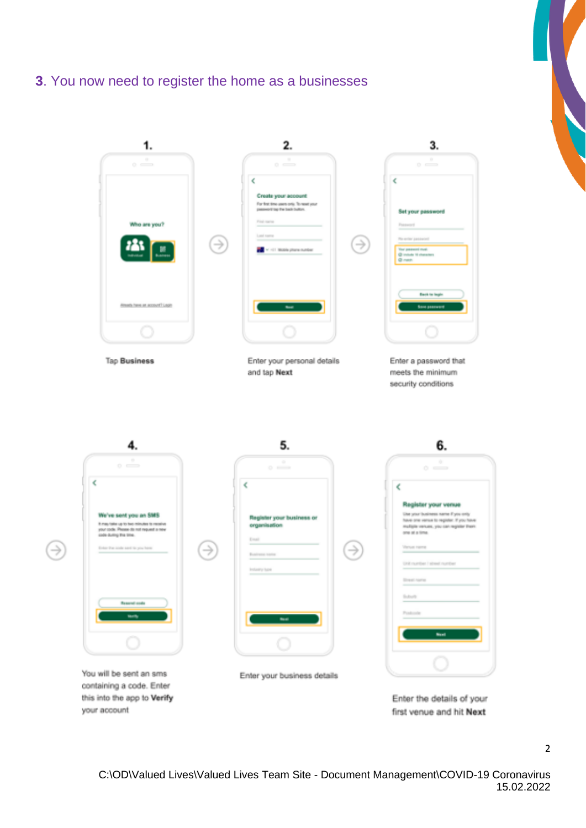### **3**. You now need to register the home as a businesses

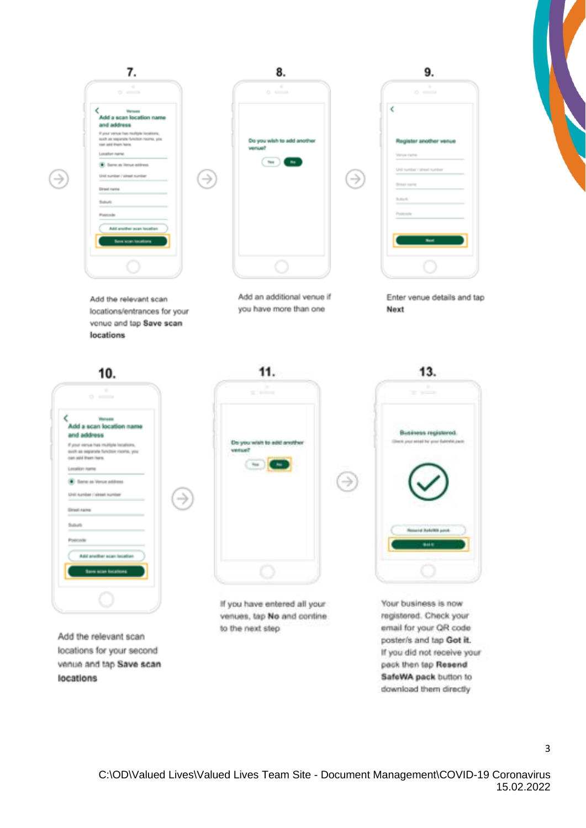

∍

ぅ

Add the relevant scan locations/entrances for your venue and tap Save scan locations



Add an additional venue if you have more than one



Enter venue details and tap Next



Add the relevant scan locations for your second venue and tap Save scan locations



If you have entered all your venues, tap No and contine to the next step



Your business is now registered. Check your email for your QR code poster/s and tap Got it. If you did not receive your pack then tap Resend SafeWA pack button to download them directly

 $\overline{3}$